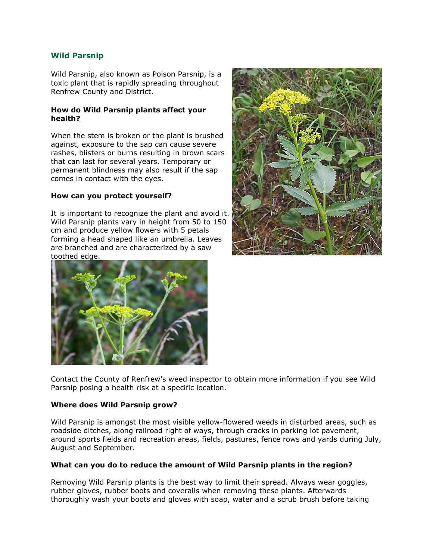# **Wild Parsnip**

Wild Parsnip, also known as Poison Parsnip, is a toxic plant that is rapidly spreading throughout Renfrew County and District.

### **How do Wild Parsnip plants affect your health?**

When the stem is broken or the plant is brushed against, exposure to the sap can cause severe rashes, blisters or burns resulting in brown scars that can last for several years. Temporary or permanent blindness may also result if the sap comes in contact with the eyes.

### **How can you protect yourself?**

It is important to recognize the plant and avoid it. Wild Parsnip plants vary in height from 50 to 150 cm and produce yellow flowers with 5 petals forming a head shaped like an umbrella. Leaves are branched and are characterized by a saw toothed edge.





Contact the County of Renfrew's weed inspector to obtain more information if you see Wild Parsnip posing a health risk at a specific location.

#### **Where does Wild Parsnip grow?**

Wild Parsnip is amongst the most visible yellow-flowered weeds in disturbed areas, such as roadside ditches, along railroad right of ways, through cracks in parking lot pavement, around sports fields and recreation areas, fields, pastures, fence rows and yards during July, August and September.

## **What can you do to reduce the amount of Wild Parsnip plants in the region?**

Removing Wild Parsnip plants is the best way to limit their spread. Always wear goggles, rubber gloves, rubber boots and coveralls when removing these plants. Afterwards thoroughly wash your boots and gloves with soap, water and a scrub brush before taking